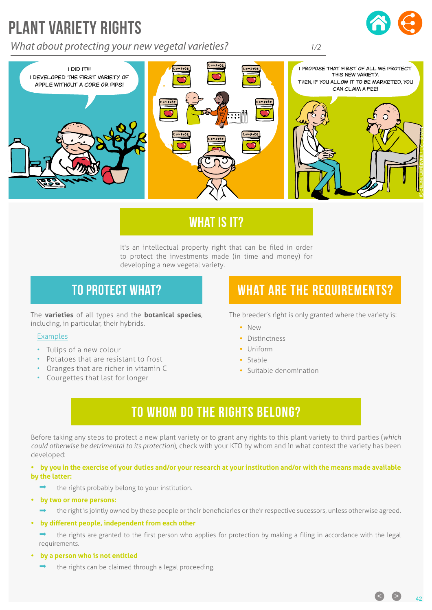# PLANT VARIETY RIGHTS

*What about protecting your new vegetal varieties? 1/2*





# WHAT IS **IT?**

It's an intellectual property right that can be filed in order to protect the investments made (in time and money) for developing a new vegetal variety.

# To protect what?

The **varieties** of all types and the **botanical species**, including, in particular, their hybrids.

### Examples

- Tulips of a new colour
- Potatoes that are resistant to frost
- Oranges that are richer in vitamin C
- Courgettes that last for longer

### WHAT ARE THE REQUIREMENTS?

The breeder's right is only granted where the variety is:

- **•** New
- **•** Distinctness
- **•** Uniform
- **•** Stable
- **•** Suitable denomination

## To whom do the rights belong?

Before taking any steps to protect a new plant variety or to grant any rights to this plant variety to third parties (*which could otherwise be detrimental to its protection*), check with your KTO by whom and in what context the variety has been developed:

#### **• by you in the exercise of your duties and/or your research at your institution and/or with the means made available by the latter:**

- the rights probably belong to your institution.
- **• by two or more persons:**
	- the right is jointly owned by these people or their beneficiaries or their respective sucessors, unless otherwise agreed.

#### **• by different people, independent from each other**

 the rights are granted to the first person who applies for protection by making a filing in accordance with the legal requirements.

#### **• by a person who is not entitled**

 the rights can be claimed through a legal proceeding.